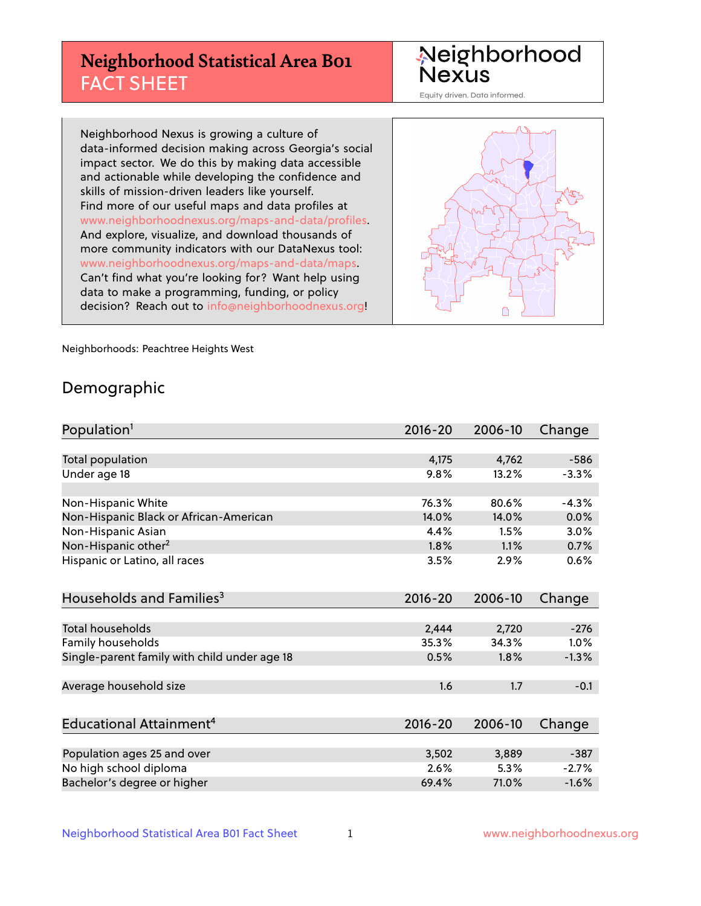# **Neighborhood Statistical Area B01** FACT SHEET

Neighborhood Nexus

Equity driven. Data informed.

Neighborhood Nexus is growing a culture of data-informed decision making across Georgia's social impact sector. We do this by making data accessible and actionable while developing the confidence and skills of mission-driven leaders like yourself. Find more of our useful maps and data profiles at www.neighborhoodnexus.org/maps-and-data/profiles. And explore, visualize, and download thousands of more community indicators with our DataNexus tool: www.neighborhoodnexus.org/maps-and-data/maps. Can't find what you're looking for? Want help using data to make a programming, funding, or policy decision? Reach out to [info@neighborhoodnexus.org!](mailto:info@neighborhoodnexus.org)



Neighborhoods: Peachtree Heights West

### Demographic

| Population <sup>1</sup>                      | $2016 - 20$ | 2006-10 | Change  |
|----------------------------------------------|-------------|---------|---------|
|                                              |             |         |         |
| Total population                             | 4,175       | 4,762   | $-586$  |
| Under age 18                                 | 9.8%        | 13.2%   | $-3.3%$ |
|                                              |             |         |         |
| Non-Hispanic White                           | 76.3%       | 80.6%   | $-4.3%$ |
| Non-Hispanic Black or African-American       | 14.0%       | 14.0%   | 0.0%    |
| Non-Hispanic Asian                           | 4.4%        | 1.5%    | 3.0%    |
| Non-Hispanic other <sup>2</sup>              | 1.8%        | 1.1%    | 0.7%    |
| Hispanic or Latino, all races                | 3.5%        | 2.9%    | 0.6%    |
|                                              |             |         |         |
| Households and Families <sup>3</sup>         | $2016 - 20$ | 2006-10 | Change  |
|                                              |             |         |         |
| <b>Total households</b>                      | 2,444       | 2,720   | $-276$  |
| <b>Family households</b>                     | 35.3%       | 34.3%   | 1.0%    |
| Single-parent family with child under age 18 | 0.5%        | 1.8%    | $-1.3%$ |
|                                              |             |         |         |
| Average household size                       | 1.6         | 1.7     | $-0.1$  |
|                                              |             |         |         |
| Educational Attainment <sup>4</sup>          | $2016 - 20$ | 2006-10 | Change  |
|                                              |             |         |         |
| Population ages 25 and over                  | 3,502       | 3,889   | $-387$  |
| No high school diploma                       | 2.6%        | 5.3%    | $-2.7%$ |
| Bachelor's degree or higher                  | 69.4%       | 71.0%   | $-1.6%$ |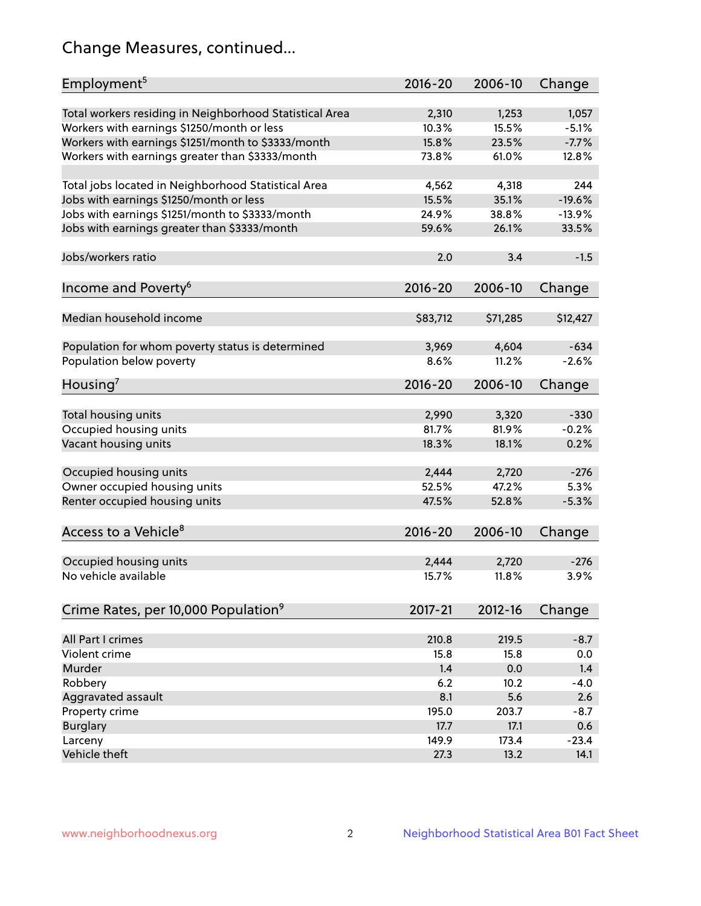# Change Measures, continued...

| Employment <sup>5</sup>                                 | $2016 - 20$ | 2006-10  | Change   |
|---------------------------------------------------------|-------------|----------|----------|
| Total workers residing in Neighborhood Statistical Area | 2,310       | 1,253    | 1,057    |
| Workers with earnings \$1250/month or less              | 10.3%       | 15.5%    | $-5.1%$  |
| Workers with earnings \$1251/month to \$3333/month      | 15.8%       | 23.5%    | $-7.7%$  |
| Workers with earnings greater than \$3333/month         | 73.8%       | 61.0%    | 12.8%    |
|                                                         |             |          |          |
| Total jobs located in Neighborhood Statistical Area     | 4,562       | 4,318    | 244      |
| Jobs with earnings \$1250/month or less                 | 15.5%       | 35.1%    | $-19.6%$ |
| Jobs with earnings \$1251/month to \$3333/month         | 24.9%       | 38.8%    | $-13.9%$ |
| Jobs with earnings greater than \$3333/month            | 59.6%       | 26.1%    | 33.5%    |
|                                                         |             |          |          |
| Jobs/workers ratio                                      | 2.0         | 3.4      | $-1.5$   |
|                                                         |             |          |          |
| Income and Poverty <sup>6</sup>                         | 2016-20     | 2006-10  | Change   |
|                                                         |             |          |          |
| Median household income                                 | \$83,712    | \$71,285 | \$12,427 |
|                                                         |             |          |          |
| Population for whom poverty status is determined        | 3,969       | 4,604    | $-634$   |
| Population below poverty                                | 8.6%        | 11.2%    | $-2.6%$  |
|                                                         |             |          |          |
| Housing <sup>7</sup>                                    | $2016 - 20$ | 2006-10  | Change   |
|                                                         |             |          |          |
| Total housing units                                     | 2,990       | 3,320    | $-330$   |
| Occupied housing units                                  | 81.7%       | 81.9%    | $-0.2%$  |
| Vacant housing units                                    | 18.3%       | 18.1%    | 0.2%     |
|                                                         |             |          |          |
| Occupied housing units                                  | 2,444       | 2,720    | $-276$   |
| Owner occupied housing units                            | 52.5%       | 47.2%    | 5.3%     |
| Renter occupied housing units                           | 47.5%       | 52.8%    | $-5.3%$  |
|                                                         |             |          |          |
| Access to a Vehicle <sup>8</sup>                        | $2016 - 20$ | 2006-10  | Change   |
|                                                         |             |          |          |
| Occupied housing units                                  | 2,444       | 2,720    | $-276$   |
| No vehicle available                                    | 15.7%       | 11.8%    | 3.9%     |
|                                                         |             |          |          |
| Crime Rates, per 10,000 Population <sup>9</sup>         | 2017-21     | 2012-16  | Change   |
|                                                         |             |          |          |
| All Part I crimes                                       | 210.8       | 219.5    | $-8.7$   |
| Violent crime                                           | 15.8        | 15.8     | 0.0      |
| Murder                                                  | 1.4         | 0.0      | 1.4      |
| Robbery                                                 | 6.2         | 10.2     | $-4.0$   |
| Aggravated assault                                      | 8.1         | 5.6      | 2.6      |
| Property crime                                          | 195.0       | 203.7    | $-8.7$   |
| <b>Burglary</b>                                         | 17.7        | 17.1     | 0.6      |
| Larceny                                                 | 149.9       | 173.4    | $-23.4$  |
| Vehicle theft                                           | 27.3        | 13.2     | 14.1     |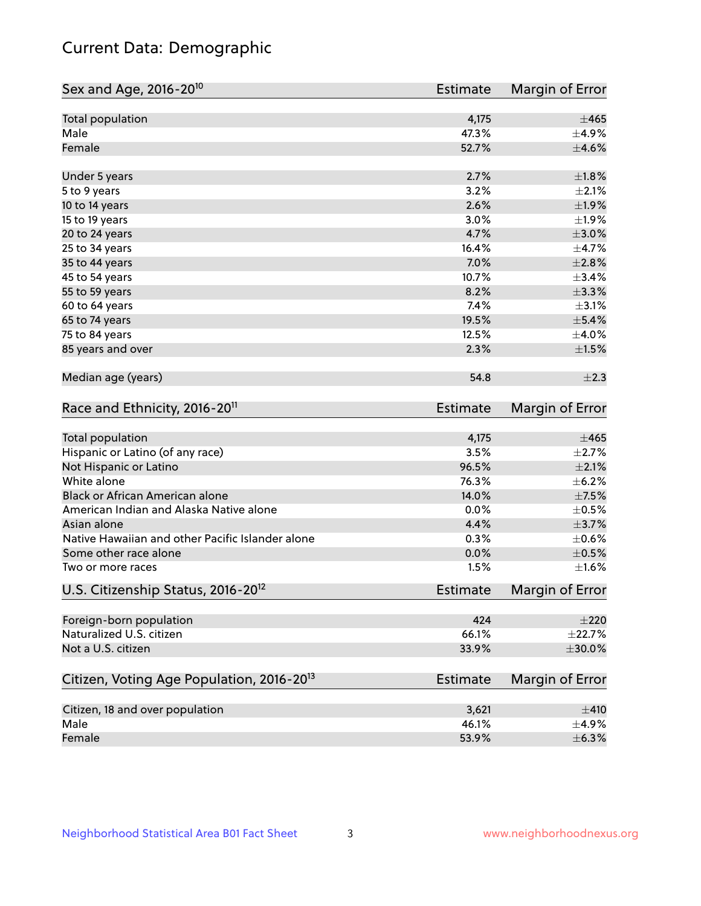# Current Data: Demographic

| Sex and Age, 2016-20 <sup>10</sup>                    | Estimate        | Margin of Error |
|-------------------------------------------------------|-----------------|-----------------|
| Total population                                      | 4,175           | ±465            |
| Male                                                  | 47.3%           | $\pm$ 4.9%      |
| Female                                                | 52.7%           | $\pm 4.6\%$     |
| Under 5 years                                         | 2.7%            | ±1.8%           |
| 5 to 9 years                                          | 3.2%            | $\pm 2.1\%$     |
| 10 to 14 years                                        | 2.6%            | ±1.9%           |
| 15 to 19 years                                        | 3.0%            | $\pm 1.9\%$     |
| 20 to 24 years                                        | 4.7%            | $\pm 3.0\%$     |
| 25 to 34 years                                        | 16.4%           | $\pm$ 4.7%      |
| 35 to 44 years                                        | 7.0%            | $\pm 2.8\%$     |
| 45 to 54 years                                        | 10.7%           | ±3.4%           |
| 55 to 59 years                                        | 8.2%            | $\pm$ 3.3%      |
| 60 to 64 years                                        | 7.4%            | $\pm$ 3.1%      |
| 65 to 74 years                                        | 19.5%           | $\pm$ 5.4%      |
| 75 to 84 years                                        | 12.5%           | $\pm$ 4.0%      |
| 85 years and over                                     | 2.3%            | $\pm 1.5\%$     |
| Median age (years)                                    | 54.8            | $\pm 2.3$       |
| Race and Ethnicity, 2016-20 <sup>11</sup>             | <b>Estimate</b> | Margin of Error |
| Total population                                      | 4,175           | $\pm 465$       |
| Hispanic or Latino (of any race)                      | 3.5%            | $\pm 2.7\%$     |
| Not Hispanic or Latino                                | 96.5%           | $\pm 2.1\%$     |
| White alone                                           | 76.3%           | $\pm$ 6.2%      |
| Black or African American alone                       | 14.0%           | $\pm$ 7.5%      |
| American Indian and Alaska Native alone               | 0.0%            | $\pm$ 0.5%      |
| Asian alone                                           | 4.4%            | $\pm$ 3.7%      |
| Native Hawaiian and other Pacific Islander alone      | 0.3%            | $\pm$ 0.6%      |
| Some other race alone                                 | 0.0%            | $\pm$ 0.5%      |
| Two or more races                                     | 1.5%            | $\pm1.6\%$      |
| U.S. Citizenship Status, 2016-20 <sup>12</sup>        | <b>Estimate</b> | Margin of Error |
| Foreign-born population                               | 424             | $\pm 220$       |
| Naturalized U.S. citizen                              | 66.1%           | ±22.7%          |
| Not a U.S. citizen                                    | 33.9%           | $\pm 30.0\%$    |
| Citizen, Voting Age Population, 2016-20 <sup>13</sup> | <b>Estimate</b> | Margin of Error |
| Citizen, 18 and over population                       | 3,621           | ±410            |
| Male                                                  | 46.1%           | $\pm$ 4.9%      |
| Female                                                | 53.9%           | $\pm$ 6.3%      |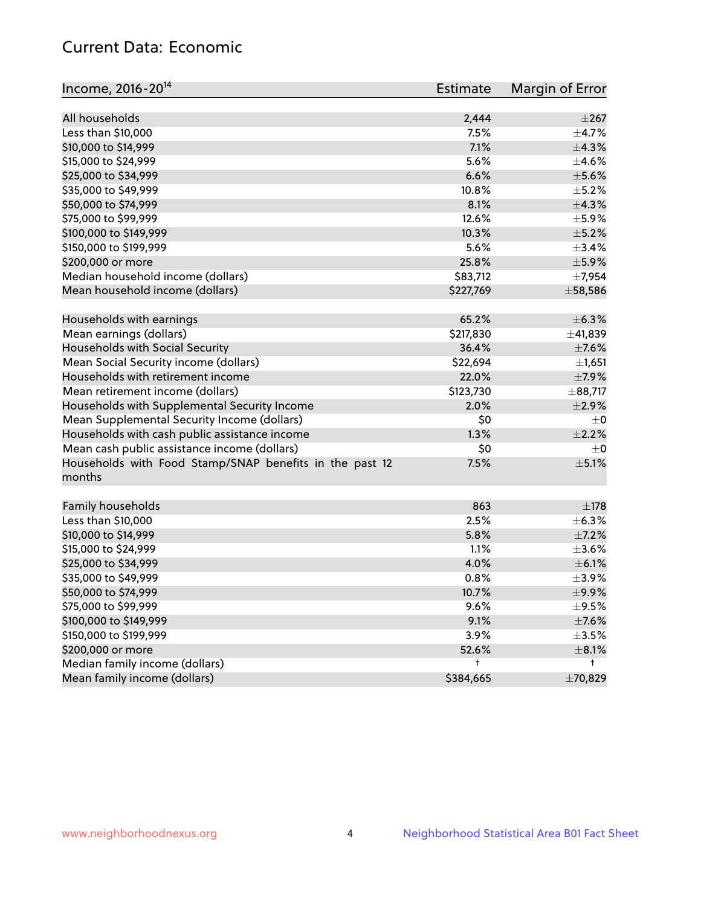# Current Data: Economic

| Income, 2016-20 <sup>14</sup>                                     | Estimate  | Margin of Error |
|-------------------------------------------------------------------|-----------|-----------------|
|                                                                   |           |                 |
| All households                                                    | 2,444     | $\pm 267$       |
| Less than \$10,000                                                | 7.5%      | $\pm$ 4.7%      |
| \$10,000 to \$14,999                                              | 7.1%      | ±4.3%           |
| \$15,000 to \$24,999                                              | 5.6%      | $\pm 4.6\%$     |
| \$25,000 to \$34,999                                              | 6.6%      | $\pm$ 5.6%      |
| \$35,000 to \$49,999                                              | 10.8%     | $\pm$ 5.2%      |
| \$50,000 to \$74,999                                              | 8.1%      | $\pm$ 4.3%      |
| \$75,000 to \$99,999                                              | 12.6%     | ±5.9%           |
| \$100,000 to \$149,999                                            | 10.3%     | $\pm$ 5.2%      |
| \$150,000 to \$199,999                                            | 5.6%      | ±3.4%           |
| \$200,000 or more                                                 | 25.8%     | $\pm$ 5.9%      |
| Median household income (dollars)                                 | \$83,712  | ±7,954          |
| Mean household income (dollars)                                   | \$227,769 | $\pm 58,586$    |
| Households with earnings                                          | 65.2%     | $\pm$ 6.3%      |
| Mean earnings (dollars)                                           | \$217,830 | ±41,839         |
| Households with Social Security                                   | 36.4%     | $\pm$ 7.6%      |
| Mean Social Security income (dollars)                             | \$22,694  | ±1,651          |
| Households with retirement income                                 | 22.0%     | $\pm$ 7.9%      |
| Mean retirement income (dollars)                                  | \$123,730 | ±88,717         |
| Households with Supplemental Security Income                      | 2.0%      | $\pm 2.9\%$     |
| Mean Supplemental Security Income (dollars)                       | \$0       | $\pm 0$         |
| Households with cash public assistance income                     | 1.3%      | $\pm 2.2\%$     |
| Mean cash public assistance income (dollars)                      | \$0       | $\pm 0$         |
| Households with Food Stamp/SNAP benefits in the past 12<br>months | 7.5%      | $\pm$ 5.1%      |
| Family households                                                 | 863       | $\pm$ 178       |
| Less than \$10,000                                                | 2.5%      | $\pm$ 6.3%      |
| \$10,000 to \$14,999                                              | 5.8%      | $\pm$ 7.2%      |
| \$15,000 to \$24,999                                              | 1.1%      | $\pm 3.6\%$     |
| \$25,000 to \$34,999                                              | 4.0%      | $\pm$ 6.1%      |
| \$35,000 to \$49,999                                              | 0.8%      | $\pm$ 3.9%      |
| \$50,000 to \$74,999                                              | 10.7%     | $\pm$ 9.9%      |
| \$75,000 to \$99,999                                              | 9.6%      | $\pm$ 9.5%      |
| \$100,000 to \$149,999                                            | 9.1%      | $\pm$ 7.6%      |
| \$150,000 to \$199,999                                            | 3.9%      | $\pm 3.5\%$     |
| \$200,000 or more                                                 | 52.6%     | $\pm$ 8.1%      |
| Median family income (dollars)                                    | t         | t               |
| Mean family income (dollars)                                      | \$384,665 | ±70,829         |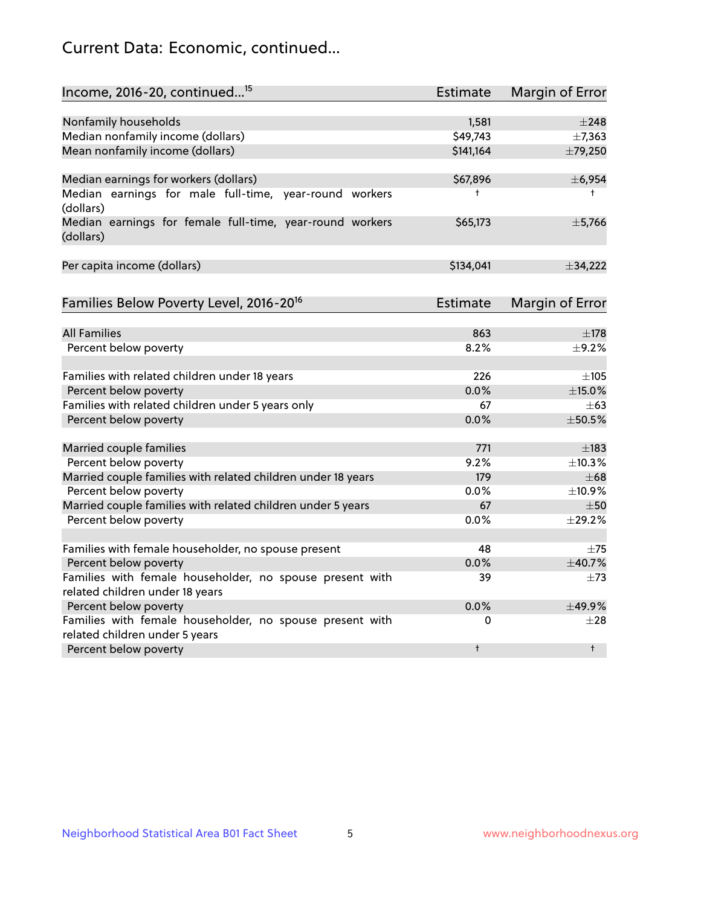# Current Data: Economic, continued...

| Income, 2016-20, continued <sup>15</sup>                              | <b>Estimate</b> | Margin of Error        |
|-----------------------------------------------------------------------|-----------------|------------------------|
|                                                                       |                 |                        |
| Nonfamily households                                                  | 1,581           | $\pm 248$              |
| Median nonfamily income (dollars)                                     | \$49,743        | ±7,363                 |
| Mean nonfamily income (dollars)                                       | \$141,164       | ±79,250                |
| Median earnings for workers (dollars)                                 | \$67,896        | ± 6,954                |
| Median earnings for male full-time, year-round workers<br>(dollars)   | ŧ               | $\ddagger$             |
| Median earnings for female full-time, year-round workers<br>(dollars) | \$65,173        | ±5,766                 |
| Per capita income (dollars)                                           | \$134,041       | ±34,222                |
| Families Below Poverty Level, 2016-20 <sup>16</sup>                   | <b>Estimate</b> | <b>Margin of Error</b> |
|                                                                       |                 |                        |
| <b>All Families</b>                                                   | 863             | $\pm$ 178              |
| Percent below poverty                                                 | 8.2%            | $\pm$ 9.2%             |
| Families with related children under 18 years                         | 226             | $\pm 105$              |
| Percent below poverty                                                 | 0.0%            | $\pm$ 15.0%            |
| Families with related children under 5 years only                     | 67              | $\pm 63$               |
| Percent below poverty                                                 | 0.0%            | ±50.5%                 |
| Married couple families                                               | 771             | $\pm$ 183              |
| Percent below poverty                                                 | 9.2%            | ±10.3%                 |
| Married couple families with related children under 18 years          | 179             | $\pm 68$               |
| Percent below poverty                                                 | $0.0\%$         | ±10.9%                 |
| Married couple families with related children under 5 years           | 67              | $\pm$ 50               |
| Percent below poverty                                                 | $0.0\%$         | ±29.2%                 |
| Families with female householder, no spouse present                   | 48              | $\pm 75$               |
| Percent below poverty                                                 | 0.0%            | ±40.7%                 |
| Families with female householder, no spouse present with              | 39              | $\pm$ 73               |
| related children under 18 years                                       |                 |                        |
| Percent below poverty                                                 | 0.0%            | $+49.9%$               |
| Families with female householder, no spouse present with              | 0               | $\pm 28$               |
| related children under 5 years                                        |                 |                        |
| Percent below poverty                                                 | t               | $\ddagger$             |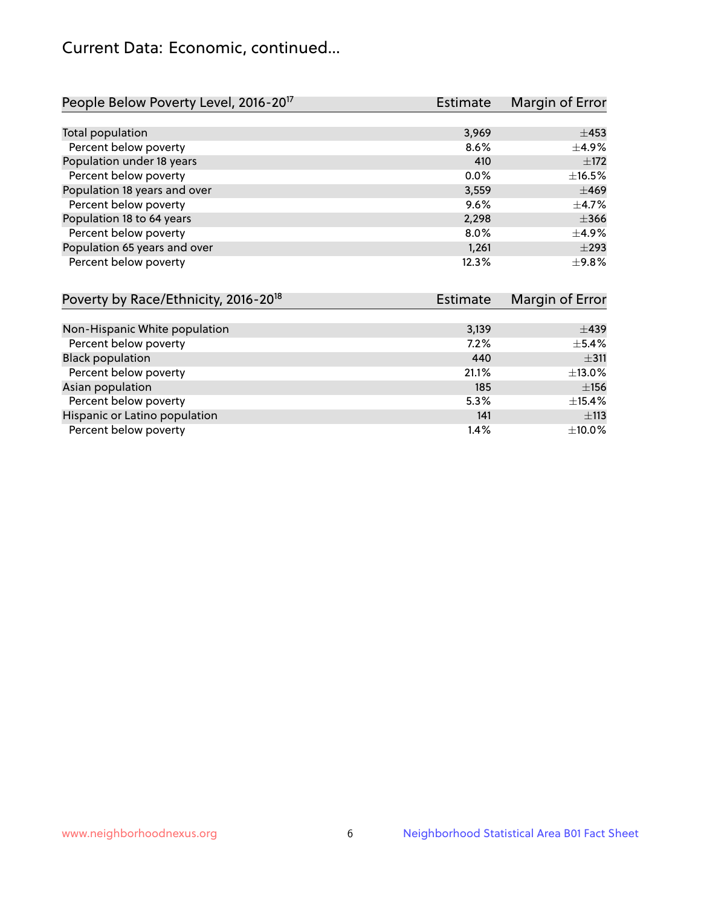# Current Data: Economic, continued...

| People Below Poverty Level, 2016-20 <sup>17</sup> | <b>Estimate</b> | Margin of Error |
|---------------------------------------------------|-----------------|-----------------|
|                                                   |                 |                 |
| Total population                                  | 3,969           | $\pm 453$       |
| Percent below poverty                             | 8.6%            | $\pm$ 4.9%      |
| Population under 18 years                         | 410             | ±172            |
| Percent below poverty                             | $0.0\%$         | $\pm$ 16.5%     |
| Population 18 years and over                      | 3,559           | $\pm 469$       |
| Percent below poverty                             | 9.6%            | $\pm$ 4.7%      |
| Population 18 to 64 years                         | 2,298           | $\pm 366$       |
| Percent below poverty                             | 8.0%            | $\pm$ 4.9%      |
| Population 65 years and over                      | 1,261           | $\pm 293$       |
| Percent below poverty                             | 12.3%           | $\pm$ 9.8%      |

| Poverty by Race/Ethnicity, 2016-20 <sup>18</sup> | <b>Estimate</b> |             |
|--------------------------------------------------|-----------------|-------------|
|                                                  |                 |             |
| Non-Hispanic White population                    | 3,139           | $\pm$ 439   |
| Percent below poverty                            | 7.2%            | $\pm$ 5.4%  |
| <b>Black population</b>                          | 440             | ±311        |
| Percent below poverty                            | 21.1%           | $\pm$ 13.0% |
| Asian population                                 | 185             | ±156        |
| Percent below poverty                            | 5.3%            | $\pm$ 15.4% |
| Hispanic or Latino population                    | 141             | ±113        |
| Percent below poverty                            | 1.4%            | ±10.0%      |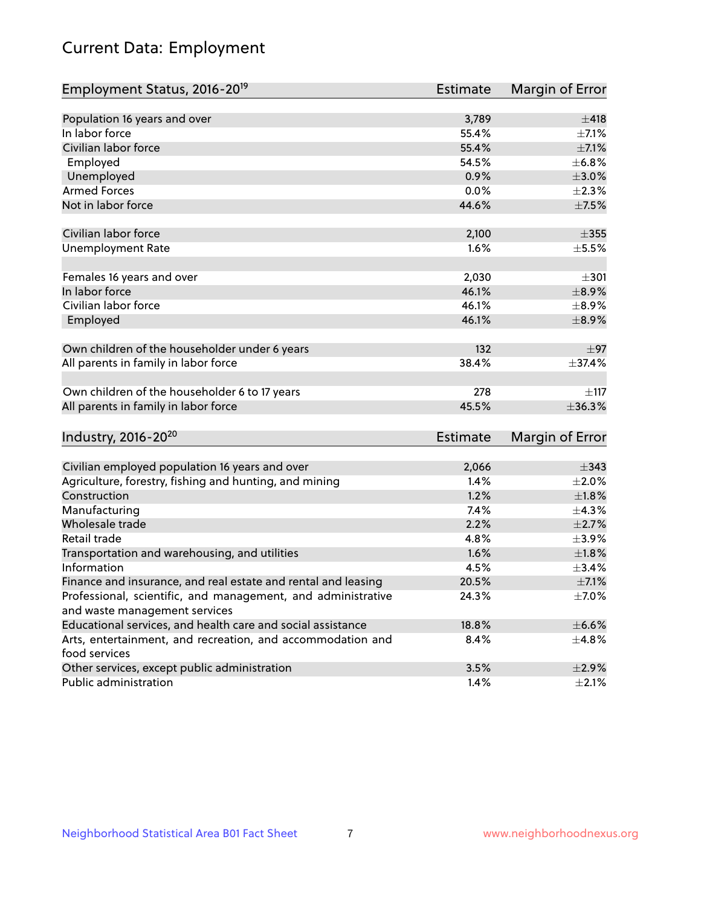# Current Data: Employment

| Employment Status, 2016-20 <sup>19</sup>                      | <b>Estimate</b> | Margin of Error |
|---------------------------------------------------------------|-----------------|-----------------|
|                                                               |                 |                 |
| Population 16 years and over                                  | 3,789           | $\pm 418$       |
| In labor force                                                | 55.4%           | $\pm$ 7.1%      |
| Civilian labor force                                          | 55.4%           | $\pm$ 7.1%      |
| Employed                                                      | 54.5%           | ±6.8%           |
| Unemployed                                                    | 0.9%            | $\pm 3.0\%$     |
| <b>Armed Forces</b>                                           | 0.0%            | $\pm 2.3\%$     |
| Not in labor force                                            | 44.6%           | $\pm$ 7.5%      |
| Civilian labor force                                          | 2,100           | $\pm 355$       |
| <b>Unemployment Rate</b>                                      | 1.6%            | $\pm$ 5.5%      |
|                                                               |                 |                 |
| Females 16 years and over                                     | 2,030           | $\pm$ 301       |
| In labor force                                                | 46.1%           | $\pm$ 8.9%      |
| Civilian labor force                                          | 46.1%           | $\pm$ 8.9%      |
| Employed                                                      | 46.1%           | $\pm$ 8.9%      |
|                                                               |                 |                 |
| Own children of the householder under 6 years                 | 132             | $\pm$ 97        |
| All parents in family in labor force                          | 38.4%           | ±37.4%          |
|                                                               | 278             |                 |
| Own children of the householder 6 to 17 years                 |                 | $\pm$ 117       |
| All parents in family in labor force                          | 45.5%           | $\pm$ 36.3%     |
| Industry, 2016-20 <sup>20</sup>                               | <b>Estimate</b> | Margin of Error |
|                                                               |                 |                 |
| Civilian employed population 16 years and over                | 2,066           | $\pm$ 343       |
| Agriculture, forestry, fishing and hunting, and mining        | 1.4%            | $\pm 2.0\%$     |
| Construction                                                  | 1.2%            | $\pm1.8\%$      |
| Manufacturing                                                 | 7.4%            | ±4.3%           |
| Wholesale trade                                               | 2.2%            | $\pm 2.7\%$     |
| Retail trade                                                  | 4.8%            | $\pm$ 3.9%      |
| Transportation and warehousing, and utilities                 | 1.6%            | $\pm 1.8\%$     |
| Information                                                   | 4.5%            | $\pm$ 3.4%      |
| Finance and insurance, and real estate and rental and leasing | 20.5%           | $\pm$ 7.1%      |
| Professional, scientific, and management, and administrative  | 24.3%           | $\pm$ 7.0%      |
| and waste management services                                 |                 |                 |
| Educational services, and health care and social assistance   | 18.8%           | $\pm$ 6.6%      |
| Arts, entertainment, and recreation, and accommodation and    | 8.4%            | ±4.8%           |
| food services                                                 |                 |                 |
| Other services, except public administration                  | 3.5%            | $\pm 2.9\%$     |
| Public administration                                         | 1.4%            | $\pm 2.1\%$     |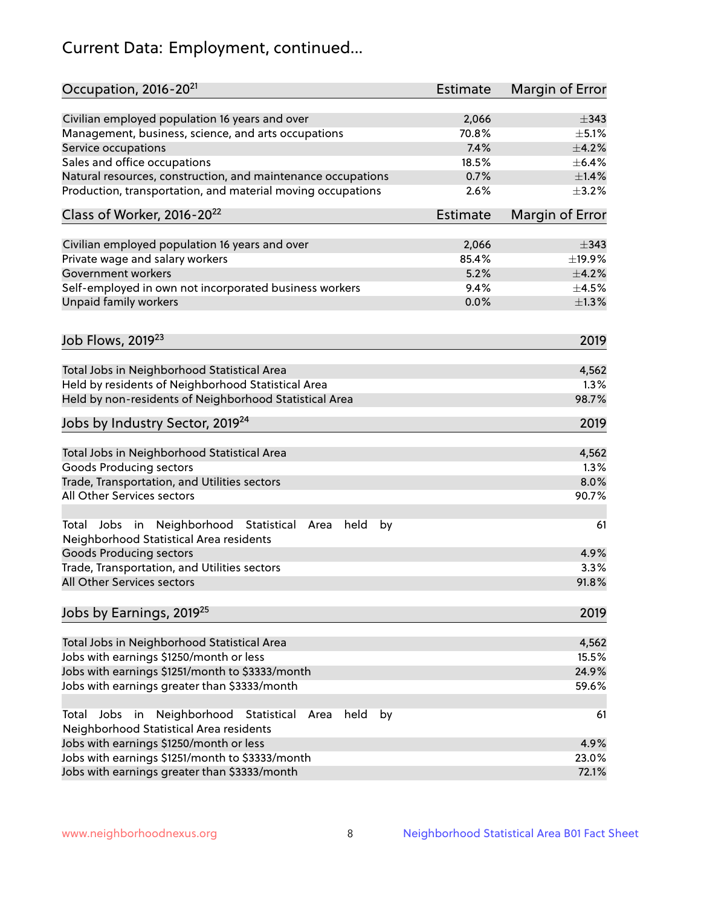# Current Data: Employment, continued...

| Occupation, 2016-20 <sup>21</sup>                                                                                | <b>Estimate</b> | Margin of Error |
|------------------------------------------------------------------------------------------------------------------|-----------------|-----------------|
| Civilian employed population 16 years and over                                                                   | 2,066           | $\pm$ 343       |
| Management, business, science, and arts occupations                                                              | 70.8%           | $\pm$ 5.1%      |
| Service occupations                                                                                              | 7.4%            | $\pm$ 4.2%      |
| Sales and office occupations                                                                                     | 18.5%           | $\pm$ 6.4%      |
| Natural resources, construction, and maintenance occupations                                                     | 0.7%            | ±1.4%           |
| Production, transportation, and material moving occupations                                                      | 2.6%            | $\pm$ 3.2%      |
| Class of Worker, 2016-20 <sup>22</sup>                                                                           | <b>Estimate</b> | Margin of Error |
| Civilian employed population 16 years and over                                                                   | 2,066           | $\pm$ 343       |
| Private wage and salary workers                                                                                  | 85.4%           | ±19.9%          |
| Government workers                                                                                               | 5.2%            | ±4.2%           |
| Self-employed in own not incorporated business workers                                                           | 9.4%            | $\pm$ 4.5%      |
| Unpaid family workers                                                                                            | 0.0%            | $\pm 1.3\%$     |
|                                                                                                                  |                 | 2019            |
| Job Flows, 2019 <sup>23</sup>                                                                                    |                 |                 |
| Total Jobs in Neighborhood Statistical Area                                                                      |                 | 4,562           |
| Held by residents of Neighborhood Statistical Area                                                               |                 | 1.3%            |
| Held by non-residents of Neighborhood Statistical Area                                                           |                 | 98.7%           |
| Jobs by Industry Sector, 2019 <sup>24</sup>                                                                      |                 | 2019            |
| Total Jobs in Neighborhood Statistical Area                                                                      |                 | 4,562           |
| <b>Goods Producing sectors</b>                                                                                   |                 | 1.3%            |
| Trade, Transportation, and Utilities sectors                                                                     |                 | 8.0%            |
| All Other Services sectors                                                                                       |                 | 90.7%           |
| Total Jobs in Neighborhood Statistical<br>held<br>by<br>Area<br>Neighborhood Statistical Area residents          |                 | 61              |
| <b>Goods Producing sectors</b>                                                                                   |                 | 4.9%            |
| Trade, Transportation, and Utilities sectors                                                                     |                 | 3.3%            |
| All Other Services sectors                                                                                       |                 | 91.8%           |
| Jobs by Earnings, 2019 <sup>25</sup>                                                                             |                 | 2019            |
| Total Jobs in Neighborhood Statistical Area                                                                      |                 | 4,562           |
| Jobs with earnings \$1250/month or less                                                                          |                 | 15.5%           |
| Jobs with earnings \$1251/month to \$3333/month                                                                  |                 | 24.9%           |
| Jobs with earnings greater than \$3333/month                                                                     |                 | 59.6%           |
| Neighborhood Statistical<br>Jobs<br>in<br>held<br>by<br>Total<br>Area<br>Neighborhood Statistical Area residents |                 | 61              |
| Jobs with earnings \$1250/month or less                                                                          |                 | 4.9%            |
| Jobs with earnings \$1251/month to \$3333/month                                                                  |                 | 23.0%           |
| Jobs with earnings greater than \$3333/month                                                                     |                 | 72.1%           |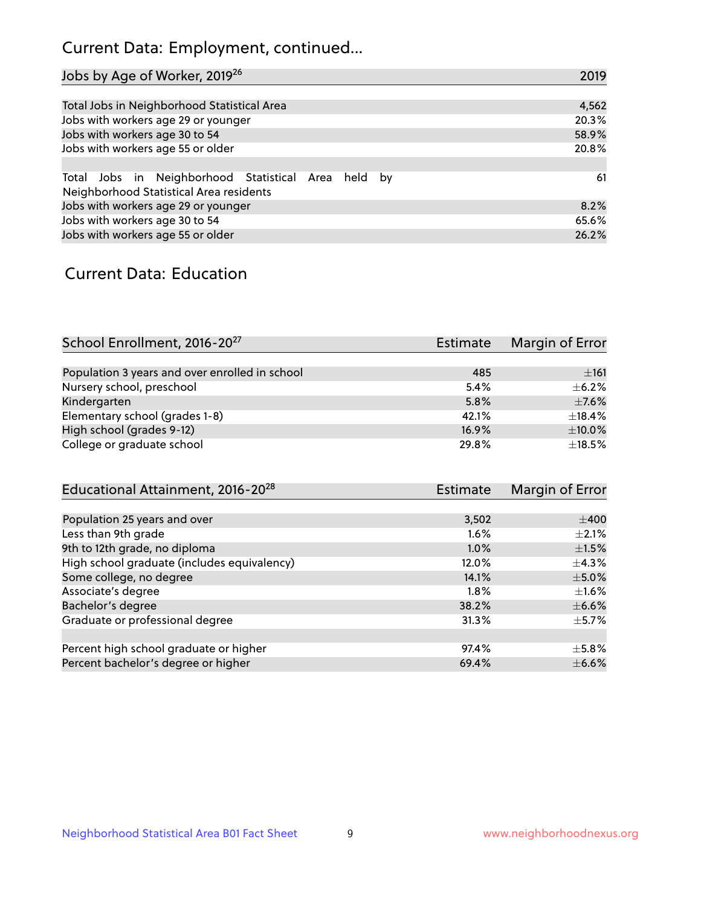# Current Data: Employment, continued...

| Jobs by Age of Worker, 2019 <sup>26</sup>                                                      | 2019  |
|------------------------------------------------------------------------------------------------|-------|
|                                                                                                |       |
| Total Jobs in Neighborhood Statistical Area                                                    | 4,562 |
| Jobs with workers age 29 or younger                                                            | 20.3% |
| Jobs with workers age 30 to 54                                                                 | 58.9% |
| Jobs with workers age 55 or older                                                              | 20.8% |
|                                                                                                |       |
| Total Jobs in Neighborhood Statistical Area held by<br>Neighborhood Statistical Area residents | 61    |
| Jobs with workers age 29 or younger                                                            | 8.2%  |
| Jobs with workers age 30 to 54                                                                 | 65.6% |
| Jobs with workers age 55 or older                                                              | 26.2% |

### Current Data: Education

| School Enrollment, 2016-20 <sup>27</sup>       | Estimate | Margin of Error |
|------------------------------------------------|----------|-----------------|
|                                                |          |                 |
| Population 3 years and over enrolled in school | 485      | ±161            |
| Nursery school, preschool                      | 5.4%     | $\pm$ 6.2%      |
| Kindergarten                                   | 5.8%     | $\pm$ 7.6%      |
| Elementary school (grades 1-8)                 | 42.1%    | $\pm$ 18.4%     |
| High school (grades 9-12)                      | 16.9%    | $\pm$ 10.0%     |
| College or graduate school                     | 29.8%    | $\pm$ 18.5%     |

| Educational Attainment, 2016-20 <sup>28</sup> | <b>Estimate</b> | Margin of Error |
|-----------------------------------------------|-----------------|-----------------|
|                                               |                 |                 |
| Population 25 years and over                  | 3,502           | $\pm 400$       |
| Less than 9th grade                           | 1.6%            | $\pm 2.1\%$     |
| 9th to 12th grade, no diploma                 | $1.0\%$         | $\pm 1.5\%$     |
| High school graduate (includes equivalency)   | 12.0%           | $\pm$ 4.3%      |
| Some college, no degree                       | 14.1%           | $\pm$ 5.0%      |
| Associate's degree                            | 1.8%            | $\pm 1.6\%$     |
| Bachelor's degree                             | 38.2%           | $\pm$ 6.6%      |
| Graduate or professional degree               | 31.3%           | $\pm$ 5.7%      |
|                                               |                 |                 |
| Percent high school graduate or higher        | 97.4%           | $\pm$ 5.8%      |
| Percent bachelor's degree or higher           | 69.4%           | $\pm$ 6.6%      |
|                                               |                 |                 |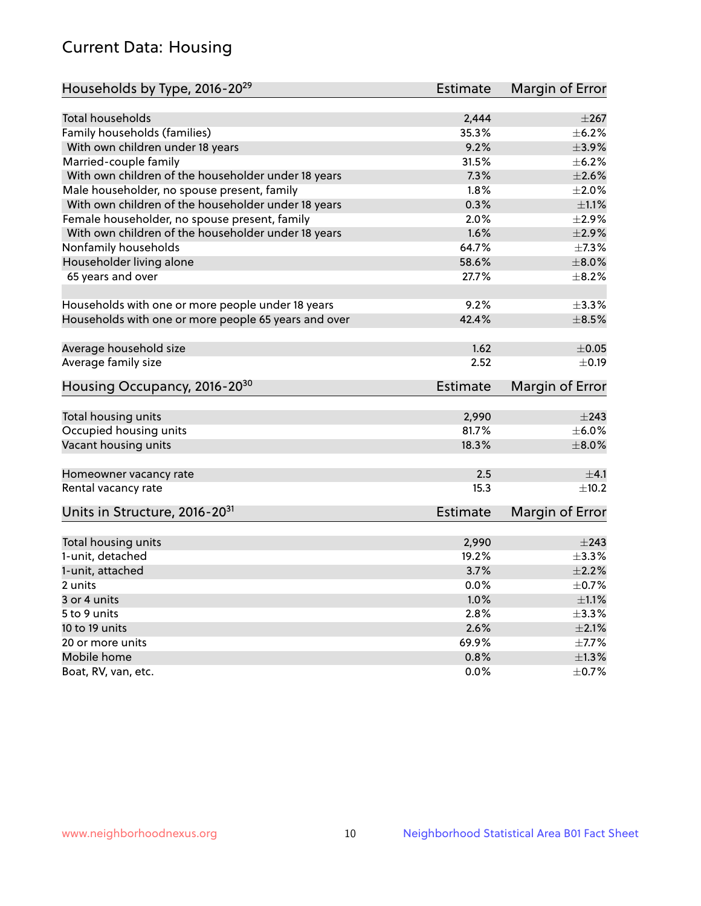# Current Data: Housing

| Households by Type, 2016-20 <sup>29</sup>            | <b>Estimate</b> | Margin of Error |
|------------------------------------------------------|-----------------|-----------------|
|                                                      |                 |                 |
| <b>Total households</b>                              | 2,444           | $\pm 267$       |
| Family households (families)                         | 35.3%           | $\pm$ 6.2%      |
| With own children under 18 years                     | 9.2%            | ±3.9%           |
| Married-couple family                                | 31.5%           | $\pm$ 6.2%      |
| With own children of the householder under 18 years  | 7.3%            | $\pm 2.6\%$     |
| Male householder, no spouse present, family          | 1.8%            | $\pm 2.0\%$     |
| With own children of the householder under 18 years  | 0.3%            | $\pm 1.1\%$     |
| Female householder, no spouse present, family        | 2.0%            | ±2.9%           |
| With own children of the householder under 18 years  | 1.6%            | $\pm 2.9\%$     |
| Nonfamily households                                 | 64.7%           | $\pm$ 7.3%      |
| Householder living alone                             | 58.6%           | $\pm 8.0\%$     |
| 65 years and over                                    | 27.7%           | $\pm$ 8.2%      |
|                                                      |                 |                 |
| Households with one or more people under 18 years    | 9.2%            | ±3.3%           |
| Households with one or more people 65 years and over | 42.4%           | $\pm$ 8.5%      |
|                                                      |                 |                 |
| Average household size                               | 1.62            | $\pm$ 0.05      |
| Average family size                                  | 2.52            | $\pm$ 0.19      |
| Housing Occupancy, 2016-20 <sup>30</sup>             | <b>Estimate</b> | Margin of Error |
|                                                      |                 |                 |
| Total housing units                                  | 2,990           | $\pm 243$       |
| Occupied housing units                               | 81.7%           | $\pm$ 6.0%      |
| Vacant housing units                                 | 18.3%           | $\pm$ 8.0%      |
| Homeowner vacancy rate                               | 2.5             | $\pm$ 4.1       |
| Rental vacancy rate                                  | 15.3            | $\pm$ 10.2      |
| Units in Structure, 2016-20 <sup>31</sup>            | <b>Estimate</b> | Margin of Error |
|                                                      |                 |                 |
| Total housing units                                  | 2,990           | $\pm 243$       |
| 1-unit, detached                                     | 19.2%           | $\pm$ 3.3%      |
| 1-unit, attached                                     | 3.7%            | $\pm 2.2\%$     |
| 2 units                                              | 0.0%            | $\pm$ 0.7%      |
| 3 or 4 units                                         | 1.0%            | $\pm 1.1\%$     |
| 5 to 9 units                                         | 2.8%            | $\pm$ 3.3%      |
| 10 to 19 units                                       | 2.6%            | $\pm 2.1\%$     |
| 20 or more units                                     | 69.9%           | $\pm$ 7.7%      |
| Mobile home                                          | 0.8%            | $\pm 1.3\%$     |
| Boat, RV, van, etc.                                  | 0.0%            | $\pm$ 0.7%      |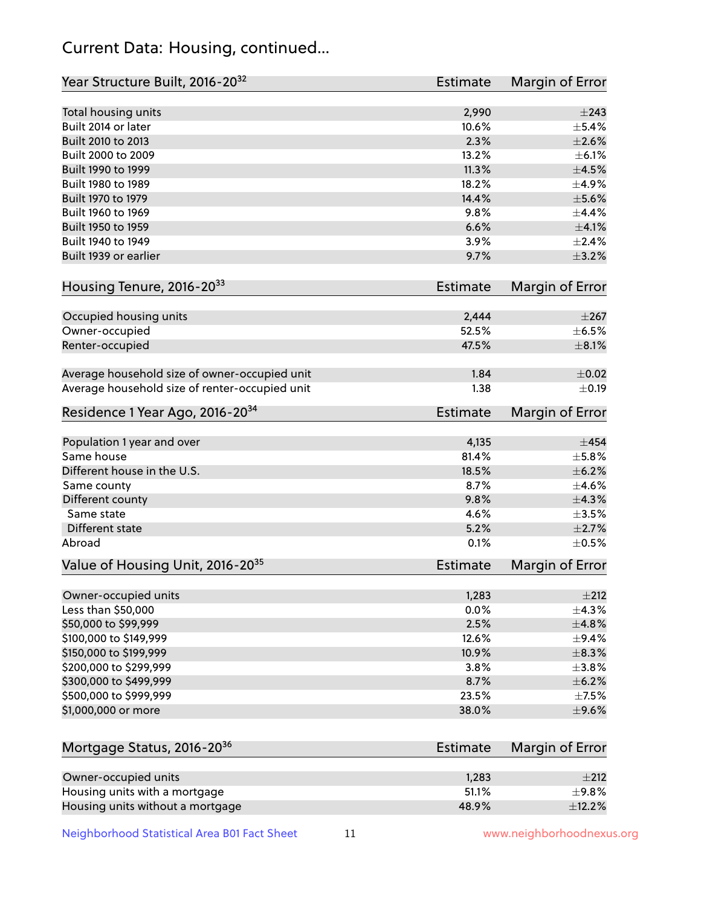# Current Data: Housing, continued...

| Year Structure Built, 2016-20 <sup>32</sup>    | <b>Estimate</b> | Margin of Error |
|------------------------------------------------|-----------------|-----------------|
| Total housing units                            | 2,990           | $\pm 243$       |
| Built 2014 or later                            | 10.6%           | $\pm$ 5.4%      |
| Built 2010 to 2013                             | 2.3%            | $\pm 2.6\%$     |
| Built 2000 to 2009                             | 13.2%           | $\pm$ 6.1%      |
| Built 1990 to 1999                             | 11.3%           | $\pm 4.5\%$     |
| Built 1980 to 1989                             | 18.2%           | ±4.9%           |
| Built 1970 to 1979                             | 14.4%           | $\pm$ 5.6%      |
| Built 1960 to 1969                             | 9.8%            | $\pm$ 4.4%      |
| Built 1950 to 1959                             | 6.6%            | $\pm 4.1\%$     |
| Built 1940 to 1949                             | 3.9%            | $\pm 2.4\%$     |
| Built 1939 or earlier                          | 9.7%            | $\pm$ 3.2%      |
|                                                |                 |                 |
| Housing Tenure, 2016-2033                      | <b>Estimate</b> | Margin of Error |
| Occupied housing units                         | 2,444           | $\pm 267$       |
| Owner-occupied                                 | 52.5%           | $\pm$ 6.5%      |
| Renter-occupied                                | 47.5%           | $\pm 8.1\%$     |
|                                                |                 |                 |
| Average household size of owner-occupied unit  | 1.84            | $\pm$ 0.02      |
| Average household size of renter-occupied unit | 1.38            | $\pm$ 0.19      |
| Residence 1 Year Ago, 2016-20 <sup>34</sup>    | <b>Estimate</b> | Margin of Error |
|                                                |                 |                 |
| Population 1 year and over                     | 4,135           | $\pm$ 454       |
| Same house                                     | 81.4%           | ±5.8%           |
| Different house in the U.S.                    | 18.5%           | $\pm$ 6.2%      |
| Same county                                    | 8.7%            | $\pm 4.6\%$     |
| Different county                               | 9.8%            | ±4.3%           |
| Same state                                     | 4.6%            | $\pm$ 3.5%      |
| <b>Different state</b>                         | 5.2%            | $\pm 2.7\%$     |
| Abroad                                         | 0.1%            | $\pm$ 0.5%      |
| Value of Housing Unit, 2016-20 <sup>35</sup>   | <b>Estimate</b> | Margin of Error |
| Owner-occupied units                           | 1,283           | ±212            |
| Less than \$50,000                             | 0.0%            | ±4.3%           |
| \$50,000 to \$99,999                           | 2.5%            | ±4.8%           |
| \$100,000 to \$149,999                         | 12.6%           | $\pm$ 9.4%      |
| \$150,000 to \$199,999                         | 10.9%           | ±8.3%           |
| \$200,000 to \$299,999                         | 3.8%            | ±3.8%           |
| \$300,000 to \$499,999                         | 8.7%            | $\pm$ 6.2%      |
| \$500,000 to \$999,999                         | 23.5%           | $\pm$ 7.5%      |
| \$1,000,000 or more                            | 38.0%           | $\pm$ 9.6%      |
|                                                |                 |                 |
| Mortgage Status, 2016-20 <sup>36</sup>         | <b>Estimate</b> | Margin of Error |
|                                                |                 |                 |
| Owner-occupied units                           | 1,283           | ±212            |
| Housing units with a mortgage                  | 51.1%           | $\pm$ 9.8%      |
| Housing units without a mortgage               | 48.9%           | ±12.2%          |

Neighborhood Statistical Area B01 Fact Sheet 11 11 www.neighborhoodnexus.org

Housing units without a mortgage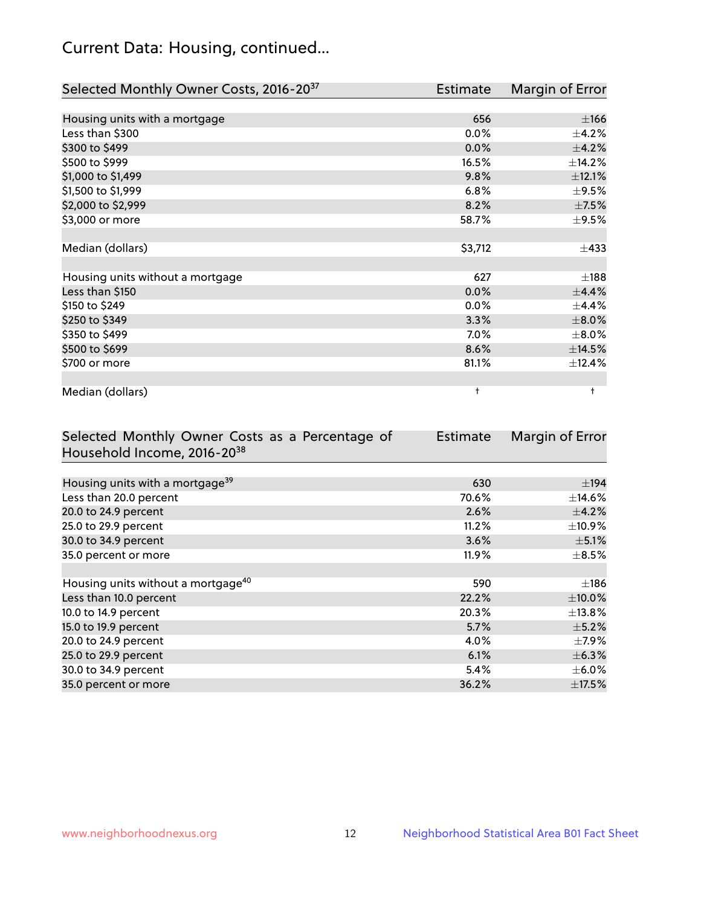# Current Data: Housing, continued...

| Selected Monthly Owner Costs, 2016-20 <sup>37</sup> | Estimate | Margin of Error |
|-----------------------------------------------------|----------|-----------------|
|                                                     |          |                 |
| Housing units with a mortgage                       | 656      | ±166            |
| Less than \$300                                     | 0.0%     | $\pm$ 4.2%      |
| \$300 to \$499                                      | 0.0%     | $\pm$ 4.2%      |
| \$500 to \$999                                      | 16.5%    | ±14.2%          |
| \$1,000 to \$1,499                                  | 9.8%     | $\pm$ 12.1%     |
| \$1,500 to \$1,999                                  | 6.8%     | $\pm$ 9.5%      |
| \$2,000 to \$2,999                                  | 8.2%     | $\pm$ 7.5%      |
| \$3,000 or more                                     | 58.7%    | $\pm$ 9.5%      |
|                                                     |          |                 |
| Median (dollars)                                    | \$3,712  | $\pm$ 433       |
|                                                     |          |                 |
| Housing units without a mortgage                    | 627      | ±188            |
| Less than \$150                                     | 0.0%     | $\pm$ 4.4%      |
| \$150 to \$249                                      | 0.0%     | $\pm$ 4.4%      |
| \$250 to \$349                                      | 3.3%     | $\pm 8.0\%$     |
| \$350 to \$499                                      | $7.0\%$  | $\pm$ 8.0%      |
| \$500 to \$699                                      | 8.6%     | $\pm$ 14.5%     |
| \$700 or more                                       | 81.1%    | ±12.4%          |
|                                                     |          |                 |
| Median (dollars)                                    | t        | $\ddagger$      |

| Selected Monthly Owner Costs as a Percentage of | <b>Estimate</b> | Margin of Error |
|-------------------------------------------------|-----------------|-----------------|
| Household Income, 2016-20 <sup>38</sup>         |                 |                 |
|                                                 |                 |                 |
| Housing units with a mortgage <sup>39</sup>     | 630             | $\pm$ 194       |
| Less than 20.0 percent                          | 70.6%           | $\pm$ 14.6%     |
| 20.0 to 24.9 percent                            | 2.6%            | $\pm$ 4.2%      |
| 25.0 to 29.9 percent                            | 11.2%           | $\pm$ 10.9%     |
| 30.0 to 34.9 percent                            | 3.6%            | $\pm$ 5.1%      |
| 35.0 percent or more                            | 11.9%           | $\pm$ 8.5%      |
|                                                 |                 |                 |
| Housing units without a mortgage <sup>40</sup>  | 590             | $\pm$ 186       |
| Less than 10.0 percent                          | 22.2%           | $\pm$ 10.0%     |
| 10.0 to 14.9 percent                            | 20.3%           | $\pm$ 13.8%     |
| 15.0 to 19.9 percent                            | 5.7%            | $\pm$ 5.2%      |
| 20.0 to 24.9 percent                            | 4.0%            | $\pm$ 7.9%      |
| 25.0 to 29.9 percent                            | 6.1%            | $\pm$ 6.3%      |
| 30.0 to 34.9 percent                            | 5.4%            | $\pm$ 6.0%      |
| 35.0 percent or more                            | 36.2%           | $\pm$ 17.5%     |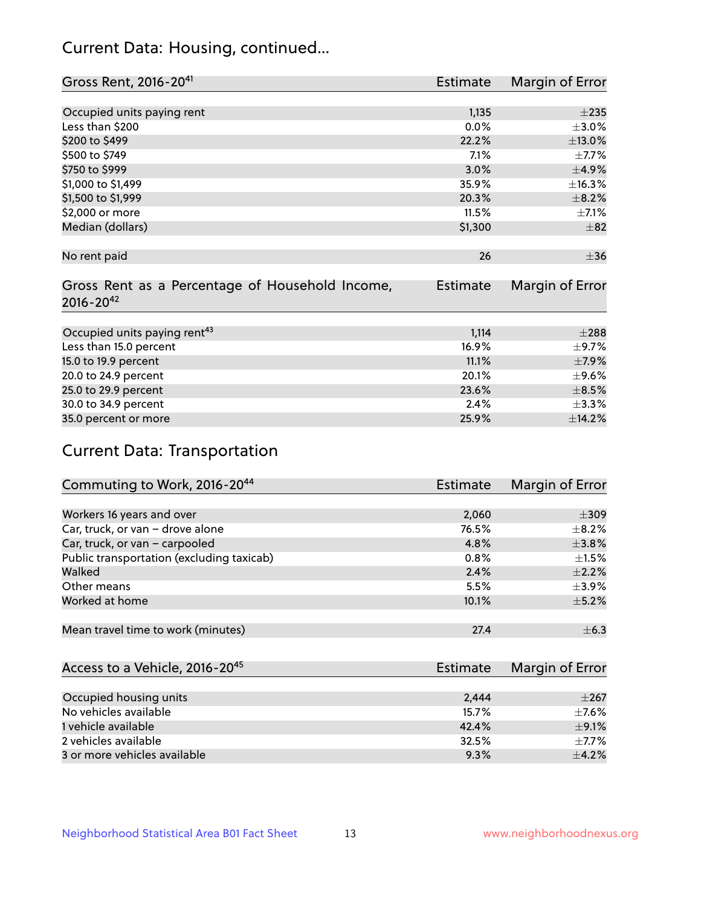# Current Data: Housing, continued...

| Gross Rent, 2016-20 <sup>41</sup>               | <b>Estimate</b> | Margin of Error |
|-------------------------------------------------|-----------------|-----------------|
|                                                 |                 |                 |
| Occupied units paying rent                      | 1,135           | $\pm 235$       |
| Less than \$200                                 | 0.0%            | $\pm$ 3.0%      |
| \$200 to \$499                                  | 22.2%           | $\pm$ 13.0%     |
| \$500 to \$749                                  | 7.1%            | $\pm$ 7.7%      |
| \$750 to \$999                                  | 3.0%            | $\pm$ 4.9%      |
| \$1,000 to \$1,499                              | 35.9%           | ±16.3%          |
| \$1,500 to \$1,999                              | 20.3%           | $\pm$ 8.2%      |
| \$2,000 or more                                 | 11.5%           | $\pm$ 7.1%      |
| Median (dollars)                                | \$1,300         | $\pm$ 82        |
|                                                 |                 |                 |
| No rent paid                                    | 26              | $\pm$ 36        |
|                                                 |                 |                 |
| Gross Rent as a Percentage of Household Income, | <b>Estimate</b> | Margin of Error |
| $2016 - 20^{42}$                                |                 |                 |
|                                                 |                 |                 |
| Occupied units paying rent <sup>43</sup>        | 1,114           | $\pm 288$       |
| Less than 15.0 percent                          | 16.9%           | $\pm$ 9.7%      |
| 15.0 to 19.9 percent                            | 11.1%           | $\pm$ 7.9%      |
| 20.0 to 24.9 percent                            | 20.1%           | $\pm$ 9.6%      |
| 25.0 to 29.9 percent                            | 23.6%           | $\pm$ 8.5%      |
| 30.0 to 34.9 percent                            | 2.4%            | ±3.3%           |
| 35.0 percent or more                            | 25.9%           | ±14.2%          |

# Current Data: Transportation

| Commuting to Work, 2016-20 <sup>44</sup>  | Estimate | Margin of Error |
|-------------------------------------------|----------|-----------------|
|                                           |          |                 |
| Workers 16 years and over                 | 2,060    | $\pm$ 309       |
| Car, truck, or van - drove alone          | 76.5%    | $\pm$ 8.2%      |
| Car, truck, or van - carpooled            | 4.8%     | $\pm$ 3.8%      |
| Public transportation (excluding taxicab) | 0.8%     | $+1.5%$         |
| Walked                                    | 2.4%     | $\pm 2.2\%$     |
| Other means                               | 5.5%     | $\pm$ 3.9%      |
| Worked at home                            | 10.1%    | $\pm$ 5.2%      |
|                                           |          |                 |
| Mean travel time to work (minutes)        | 27.4     | $\pm$ 6.3       |

| Access to a Vehicle, 2016-20 <sup>45</sup> | Estimate | Margin of Error |
|--------------------------------------------|----------|-----------------|
|                                            |          |                 |
| Occupied housing units                     | 2.444    | $\pm 267$       |
| No vehicles available                      | 15.7%    | $+7.6%$         |
| 1 vehicle available                        | 42.4%    | $\pm$ 9.1%      |
| 2 vehicles available                       | 32.5%    | $+7.7%$         |
| 3 or more vehicles available               | 9.3%     | $+4.2%$         |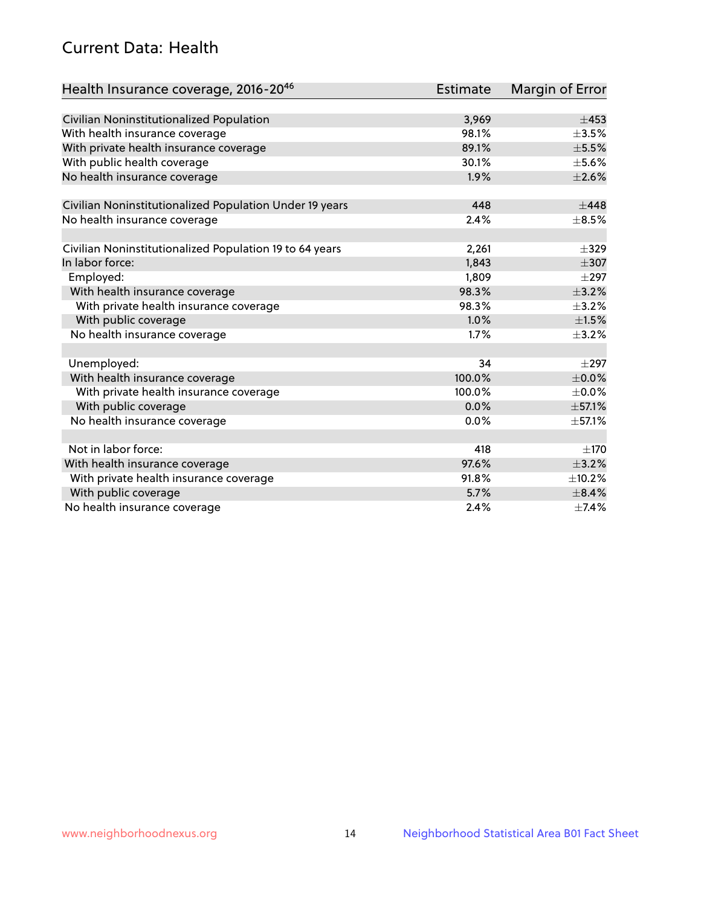# Current Data: Health

| Health Insurance coverage, 2016-2046                    | <b>Estimate</b> | Margin of Error |
|---------------------------------------------------------|-----------------|-----------------|
|                                                         |                 |                 |
| Civilian Noninstitutionalized Population                | 3,969           | $\pm 453$       |
| With health insurance coverage                          | 98.1%           | $\pm$ 3.5%      |
| With private health insurance coverage                  | 89.1%           | $\pm$ 5.5%      |
| With public health coverage                             | 30.1%           | $\pm$ 5.6%      |
| No health insurance coverage                            | 1.9%            | $\pm 2.6\%$     |
| Civilian Noninstitutionalized Population Under 19 years | 448             | $\pm$ 448       |
| No health insurance coverage                            | 2.4%            | $\pm$ 8.5%      |
|                                                         |                 |                 |
| Civilian Noninstitutionalized Population 19 to 64 years | 2,261           | $\pm$ 329       |
| In labor force:                                         | 1,843           | $\pm$ 307       |
| Employed:                                               | 1,809           | $\pm$ 297       |
| With health insurance coverage                          | 98.3%           | $\pm$ 3.2%      |
| With private health insurance coverage                  | 98.3%           | $\pm$ 3.2%      |
| With public coverage                                    | 1.0%            | $\pm 1.5\%$     |
| No health insurance coverage                            | 1.7%            | $\pm$ 3.2%      |
|                                                         |                 |                 |
| Unemployed:                                             | 34              | $\pm 297$       |
| With health insurance coverage                          | 100.0%          | $\pm$ 0.0%      |
| With private health insurance coverage                  | 100.0%          | $\pm$ 0.0%      |
| With public coverage                                    | 0.0%            | ±57.1%          |
| No health insurance coverage                            | 0.0%            | ±57.1%          |
|                                                         |                 |                 |
| Not in labor force:                                     | 418             | ±170            |
| With health insurance coverage                          | 97.6%           | $\pm$ 3.2%      |
| With private health insurance coverage                  | 91.8%           | ±10.2%          |
| With public coverage                                    | 5.7%            | $\pm$ 8.4%      |
| No health insurance coverage                            | 2.4%            | ±7.4%           |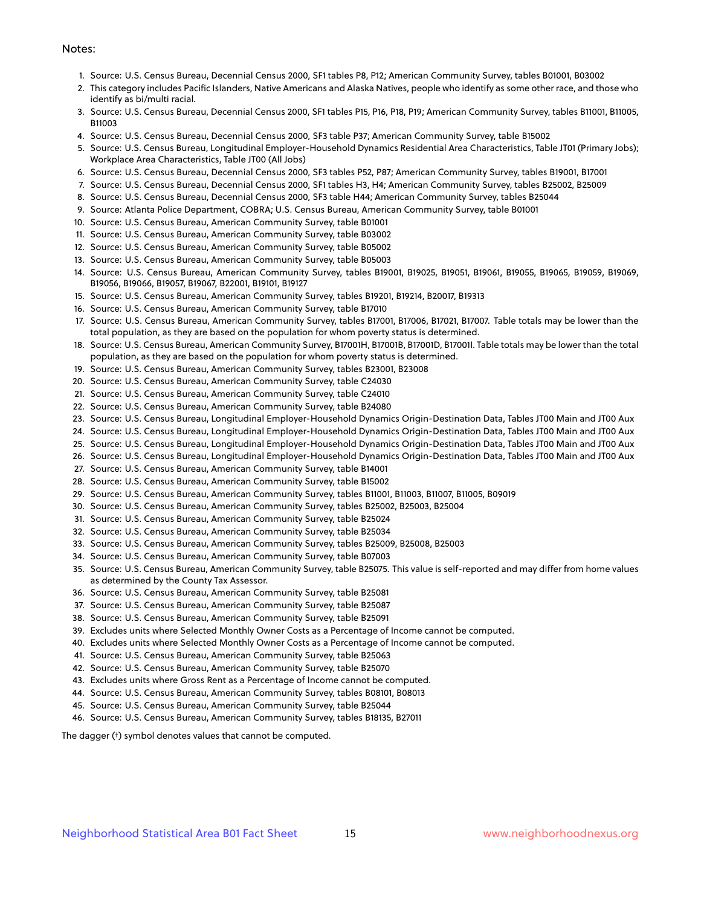#### Notes:

- 1. Source: U.S. Census Bureau, Decennial Census 2000, SF1 tables P8, P12; American Community Survey, tables B01001, B03002
- 2. This category includes Pacific Islanders, Native Americans and Alaska Natives, people who identify as some other race, and those who identify as bi/multi racial.
- 3. Source: U.S. Census Bureau, Decennial Census 2000, SF1 tables P15, P16, P18, P19; American Community Survey, tables B11001, B11005, B11003
- 4. Source: U.S. Census Bureau, Decennial Census 2000, SF3 table P37; American Community Survey, table B15002
- 5. Source: U.S. Census Bureau, Longitudinal Employer-Household Dynamics Residential Area Characteristics, Table JT01 (Primary Jobs); Workplace Area Characteristics, Table JT00 (All Jobs)
- 6. Source: U.S. Census Bureau, Decennial Census 2000, SF3 tables P52, P87; American Community Survey, tables B19001, B17001
- 7. Source: U.S. Census Bureau, Decennial Census 2000, SF1 tables H3, H4; American Community Survey, tables B25002, B25009
- 8. Source: U.S. Census Bureau, Decennial Census 2000, SF3 table H44; American Community Survey, tables B25044
- 9. Source: Atlanta Police Department, COBRA; U.S. Census Bureau, American Community Survey, table B01001
- 10. Source: U.S. Census Bureau, American Community Survey, table B01001
- 11. Source: U.S. Census Bureau, American Community Survey, table B03002
- 12. Source: U.S. Census Bureau, American Community Survey, table B05002
- 13. Source: U.S. Census Bureau, American Community Survey, table B05003
- 14. Source: U.S. Census Bureau, American Community Survey, tables B19001, B19025, B19051, B19061, B19055, B19065, B19059, B19069, B19056, B19066, B19057, B19067, B22001, B19101, B19127
- 15. Source: U.S. Census Bureau, American Community Survey, tables B19201, B19214, B20017, B19313
- 16. Source: U.S. Census Bureau, American Community Survey, table B17010
- 17. Source: U.S. Census Bureau, American Community Survey, tables B17001, B17006, B17021, B17007. Table totals may be lower than the total population, as they are based on the population for whom poverty status is determined.
- 18. Source: U.S. Census Bureau, American Community Survey, B17001H, B17001B, B17001D, B17001I. Table totals may be lower than the total population, as they are based on the population for whom poverty status is determined.
- 19. Source: U.S. Census Bureau, American Community Survey, tables B23001, B23008
- 20. Source: U.S. Census Bureau, American Community Survey, table C24030
- 21. Source: U.S. Census Bureau, American Community Survey, table C24010
- 22. Source: U.S. Census Bureau, American Community Survey, table B24080
- 23. Source: U.S. Census Bureau, Longitudinal Employer-Household Dynamics Origin-Destination Data, Tables JT00 Main and JT00 Aux
- 24. Source: U.S. Census Bureau, Longitudinal Employer-Household Dynamics Origin-Destination Data, Tables JT00 Main and JT00 Aux
- 25. Source: U.S. Census Bureau, Longitudinal Employer-Household Dynamics Origin-Destination Data, Tables JT00 Main and JT00 Aux
- 26. Source: U.S. Census Bureau, Longitudinal Employer-Household Dynamics Origin-Destination Data, Tables JT00 Main and JT00 Aux
- 27. Source: U.S. Census Bureau, American Community Survey, table B14001
- 28. Source: U.S. Census Bureau, American Community Survey, table B15002
- 29. Source: U.S. Census Bureau, American Community Survey, tables B11001, B11003, B11007, B11005, B09019
- 30. Source: U.S. Census Bureau, American Community Survey, tables B25002, B25003, B25004
- 31. Source: U.S. Census Bureau, American Community Survey, table B25024
- 32. Source: U.S. Census Bureau, American Community Survey, table B25034
- 33. Source: U.S. Census Bureau, American Community Survey, tables B25009, B25008, B25003
- 34. Source: U.S. Census Bureau, American Community Survey, table B07003
- 35. Source: U.S. Census Bureau, American Community Survey, table B25075. This value is self-reported and may differ from home values as determined by the County Tax Assessor.
- 36. Source: U.S. Census Bureau, American Community Survey, table B25081
- 37. Source: U.S. Census Bureau, American Community Survey, table B25087
- 38. Source: U.S. Census Bureau, American Community Survey, table B25091
- 39. Excludes units where Selected Monthly Owner Costs as a Percentage of Income cannot be computed.
- 40. Excludes units where Selected Monthly Owner Costs as a Percentage of Income cannot be computed.
- 41. Source: U.S. Census Bureau, American Community Survey, table B25063
- 42. Source: U.S. Census Bureau, American Community Survey, table B25070
- 43. Excludes units where Gross Rent as a Percentage of Income cannot be computed.
- 44. Source: U.S. Census Bureau, American Community Survey, tables B08101, B08013
- 45. Source: U.S. Census Bureau, American Community Survey, table B25044
- 46. Source: U.S. Census Bureau, American Community Survey, tables B18135, B27011

The dagger (†) symbol denotes values that cannot be computed.